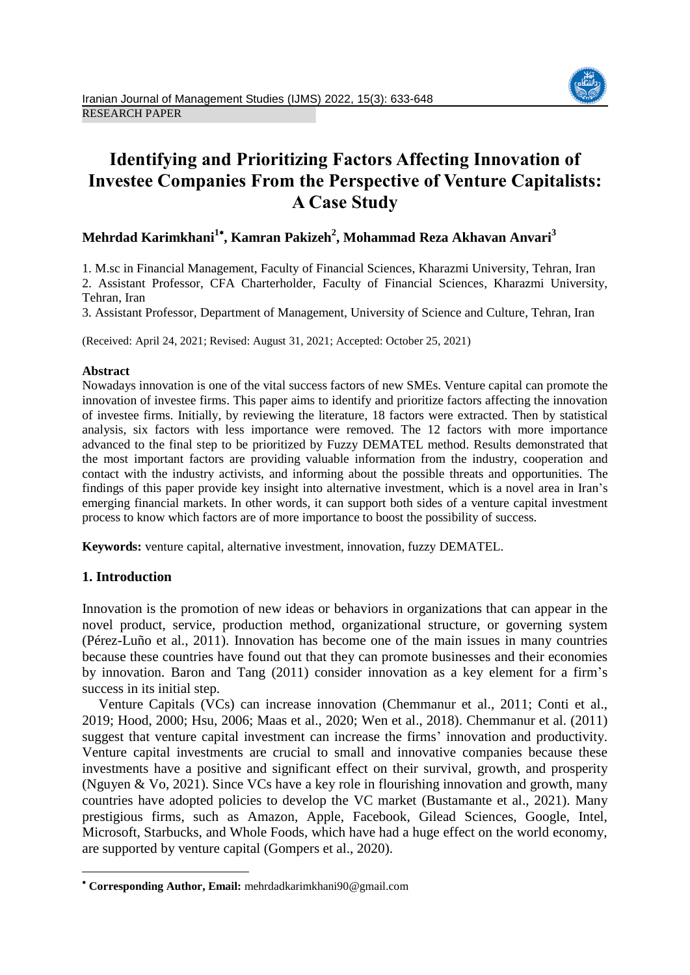

# **Identifying and Prioritizing Factors Affecting Innovation of Investee Companies From the Perspective of Venture Capitalists: A Case Study**

# **Mehrdad Karimkhani<sup>1</sup> , Kamran Pakizeh<sup>2</sup> , Mohammad Reza Akhavan Anvari<sup>3</sup>**

1. M.sc in Financial Management, Faculty of Financial Sciences, Kharazmi University, Tehran, Iran 2. Assistant Professor, CFA Charterholder, Faculty of Financial Sciences, Kharazmi University, Tehran, Iran

3. Assistant Professor, Department of Management, University of Science and Culture, Tehran, Iran

(Received: April 24, 2021; Revised: August 31, 2021; Accepted: October 25, 2021)

### **Abstract**

Nowadays innovation is one of the vital success factors of new SMEs. Venture capital can promote the innovation of investee firms. This paper aims to identify and prioritize factors affecting the innovation of investee firms. Initially, by reviewing the literature, 18 factors were extracted. Then by statistical analysis, six factors with less importance were removed. The 12 factors with more importance advanced to the final step to be prioritized by Fuzzy DEMATEL method. Results demonstrated that the most important factors are providing valuable information from the industry, cooperation and contact with the industry activists, and informing about the possible threats and opportunities. The findings of this paper provide key insight into alternative investment, which is a novel area in Iran's emerging financial markets. In other words, it can support both sides of a venture capital investment process to know which factors are of more importance to boost the possibility of success.

**Keywords:** venture capital, alternative investment, innovation, fuzzy DEMATEL.

## **1. Introduction**

 $\overline{a}$ 

Innovation is the promotion of new ideas or behaviors in organizations that can appear in the novel product, service, production method, organizational structure, or governing system (Pérez-Luño et al., 2011). Innovation has become one of the main issues in many countries because these countries have found out that they can promote businesses and their economies by innovation. Baron and Tang (2011) consider innovation as a key element for a firm's success in its initial step.

Venture Capitals (VCs) can increase innovation (Chemmanur et al., 2011; Conti et al., 2019; Hood, 2000; Hsu, 2006; Maas et al., 2020; Wen et al., 2018). Chemmanur et al. (2011) suggest that venture capital investment can increase the firms' innovation and productivity. Venture capital investments are crucial to small and innovative companies because these investments have a positive and significant effect on their survival, growth, and prosperity (Nguyen & Vo, 2021). Since VCs have a key role in flourishing innovation and growth, many countries have adopted policies to develop the VC market (Bustamante et al., 2021). Many prestigious firms, such as Amazon, Apple, Facebook, Gilead Sciences, Google, Intel, Microsoft, Starbucks, and Whole Foods, which have had a huge effect on the world economy, are supported by venture capital (Gompers et al., 2020).

**Corresponding Author, Email:** mehrdadkarimkhani90@gmail.com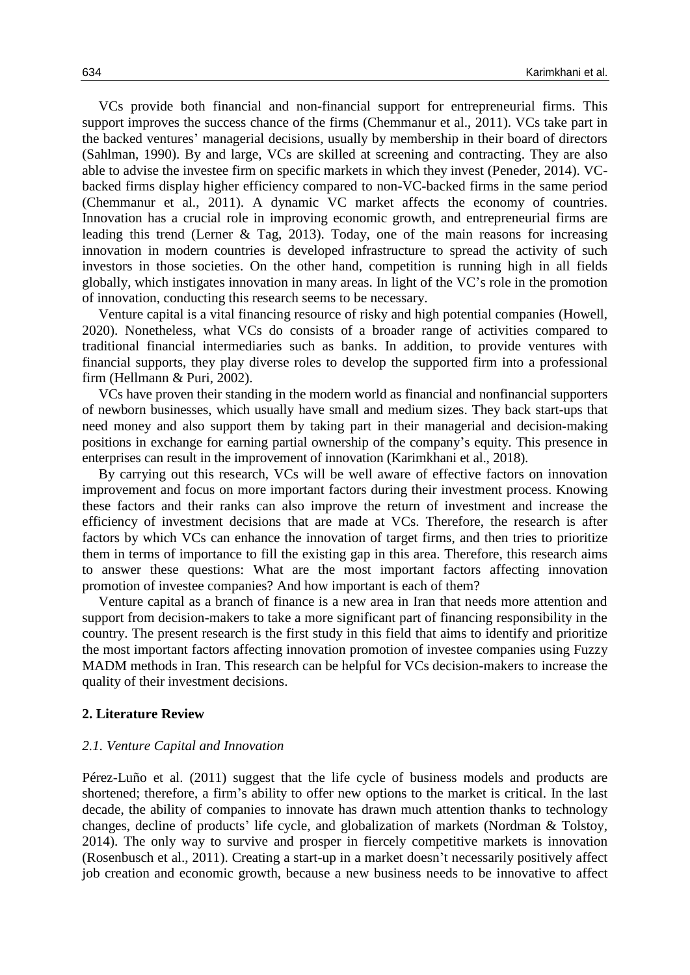VCs provide both financial and non-financial support for entrepreneurial firms. This support improves the success chance of the firms (Chemmanur et al., 2011). VCs take part in the backed ventures' managerial decisions, usually by membership in their board of directors (Sahlman, 1990). By and large, VCs are skilled at screening and contracting. They are also able to advise the investee firm on specific markets in which they invest (Peneder, 2014). VCbacked firms display higher efficiency compared to non-VC-backed firms in the same period (Chemmanur et al., 2011). A dynamic VC market affects the economy of countries. Innovation has a crucial role in improving economic growth, and entrepreneurial firms are leading this trend (Lerner & Tag, 2013). Today, one of the main reasons for increasing innovation in modern countries is developed infrastructure to spread the activity of such investors in those societies. On the other hand, competition is running high in all fields globally, which instigates innovation in many areas. In light of the VC's role in the promotion of innovation, conducting this research seems to be necessary.

Venture capital is a vital financing resource of risky and high potential companies (Howell, 2020). Nonetheless, what VCs do consists of a broader range of activities compared to traditional financial intermediaries such as banks. In addition, to provide ventures with financial supports, they play diverse roles to develop the supported firm into a professional firm (Hellmann & Puri, 2002).

VCs have proven their standing in the modern world as financial and nonfinancial supporters of newborn businesses, which usually have small and medium sizes. They back start-ups that need money and also support them by taking part in their managerial and decision-making positions in exchange for earning partial ownership of the company's equity. This presence in enterprises can result in the improvement of innovation (Karimkhani et al., 2018).

By carrying out this research, VCs will be well aware of effective factors on innovation improvement and focus on more important factors during their investment process. Knowing these factors and their ranks can also improve the return of investment and increase the efficiency of investment decisions that are made at VCs. Therefore, the research is after factors by which VCs can enhance the innovation of target firms, and then tries to prioritize them in terms of importance to fill the existing gap in this area. Therefore, this research aims to answer these questions: What are the most important factors affecting innovation promotion of investee companies? And how important is each of them?

Venture capital as a branch of finance is a new area in Iran that needs more attention and support from decision-makers to take a more significant part of financing responsibility in the country. The present research is the first study in this field that aims to identify and prioritize the most important factors affecting innovation promotion of investee companies using Fuzzy MADM methods in Iran. This research can be helpful for VCs decision-makers to increase the quality of their investment decisions.

#### **2. Literature Review**

#### *2.1. Venture Capital and Innovation*

Pérez-Luño et al. (2011) suggest that the life cycle of business models and products are shortened; therefore, a firm's ability to offer new options to the market is critical. In the last decade, the ability of companies to innovate has drawn much attention thanks to technology changes, decline of products' life cycle, and globalization of markets (Nordman & Tolstoy, 2014). The only way to survive and prosper in fiercely competitive markets is innovation (Rosenbusch et al., 2011). Creating a start-up in a market doesn't necessarily positively affect job creation and economic growth, because a new business needs to be innovative to affect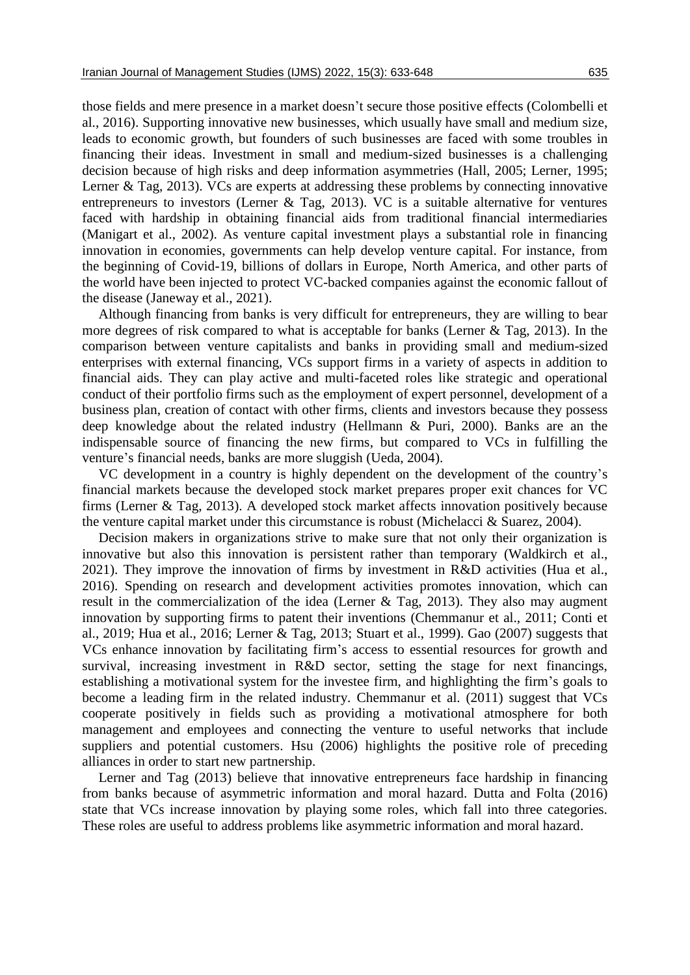those fields and mere presence in a market doesn't secure those positive effects (Colombelli et al., 2016). Supporting innovative new businesses, which usually have small and medium size, leads to economic growth, but founders of such businesses are faced with some troubles in financing their ideas. Investment in small and medium-sized businesses is a challenging decision because of high risks and deep information asymmetries (Hall, 2005; Lerner, 1995; Lerner & Tag, 2013). VCs are experts at addressing these problems by connecting innovative entrepreneurs to investors (Lerner & Tag, 2013). VC is a suitable alternative for ventures faced with hardship in obtaining financial aids from traditional financial intermediaries (Manigart et al., 2002). As venture capital investment plays a substantial role in financing innovation in economies, governments can help develop venture capital. For instance, from the beginning of Covid-19, billions of dollars in Europe, North America, and other parts of the world have been injected to protect VC-backed companies against the economic fallout of the disease (Janeway et al., 2021).

Although financing from banks is very difficult for entrepreneurs, they are willing to bear more degrees of risk compared to what is acceptable for banks (Lerner & Tag, 2013). In the comparison between venture capitalists and banks in providing small and medium-sized enterprises with external financing, VCs support firms in a variety of aspects in addition to financial aids. They can play active and multi-faceted roles like strategic and operational conduct of their portfolio firms such as the employment of expert personnel, development of a business plan, creation of contact with other firms, clients and investors because they possess deep knowledge about the related industry (Hellmann & Puri, 2000). Banks are an the indispensable source of financing the new firms, but compared to VCs in fulfilling the venture's financial needs, banks are more sluggish (Ueda, 2004).

VC development in a country is highly dependent on the development of the country's financial markets because the developed stock market prepares proper exit chances for VC firms (Lerner & Tag, 2013). A developed stock market affects innovation positively because the venture capital market under this circumstance is robust (Michelacci & Suarez, 2004).

Decision makers in organizations strive to make sure that not only their organization is innovative but also this innovation is persistent rather than temporary (Waldkirch et al., 2021). They improve the innovation of firms by investment in R&D activities (Hua et al., 2016). Spending on research and development activities promotes innovation, which can result in the commercialization of the idea (Lerner & Tag, 2013). They also may augment innovation by supporting firms to patent their inventions (Chemmanur et al., 2011; Conti et al., 2019; Hua et al., 2016; Lerner & Tag, 2013; Stuart et al., 1999). Gao (2007) suggests that VCs enhance innovation by facilitating firm's access to essential resources for growth and survival, increasing investment in R&D sector, setting the stage for next financings, establishing a motivational system for the investee firm, and highlighting the firm's goals to become a leading firm in the related industry. Chemmanur et al. (2011) suggest that VCs cooperate positively in fields such as providing a motivational atmosphere for both management and employees and connecting the venture to useful networks that include suppliers and potential customers. Hsu (2006) highlights the positive role of preceding alliances in order to start new partnership.

Lerner and Tag (2013) believe that innovative entrepreneurs face hardship in financing from banks because of asymmetric information and moral hazard. Dutta and Folta (2016) state that VCs increase innovation by playing some roles, which fall into three categories. These roles are useful to address problems like asymmetric information and moral hazard.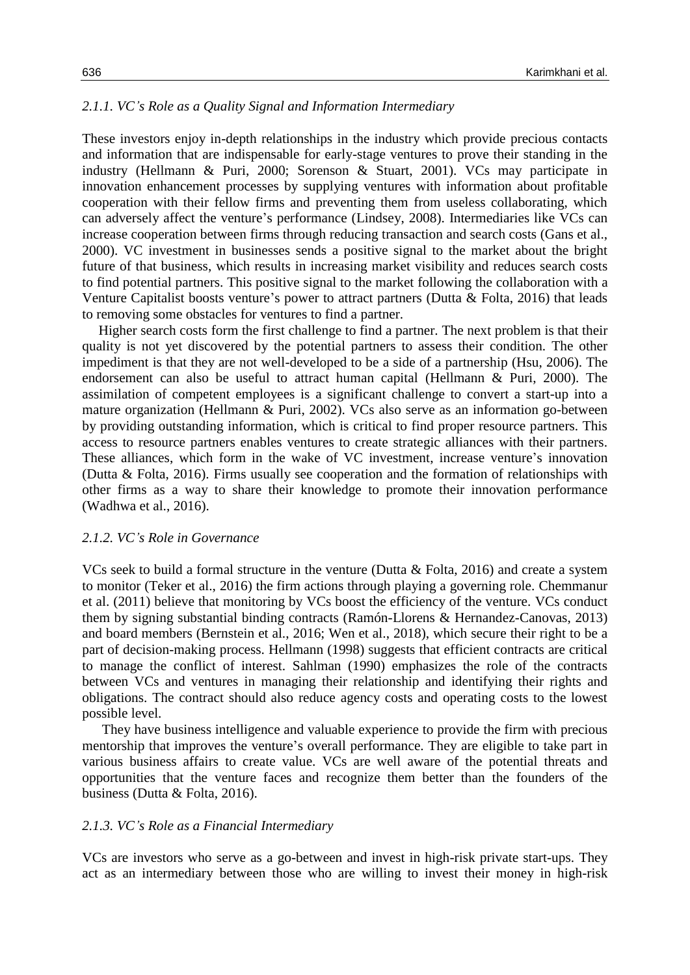### *2.1.1. VC's Role as a Quality Signal and Information Intermediary*

These investors enjoy in-depth relationships in the industry which provide precious contacts and information that are indispensable for early-stage ventures to prove their standing in the industry (Hellmann & Puri, 2000; Sorenson & Stuart, 2001). VCs may participate in innovation enhancement processes by supplying ventures with information about profitable cooperation with their fellow firms and preventing them from useless collaborating, which can adversely affect the venture's performance (Lindsey, 2008). Intermediaries like VCs can increase cooperation between firms through reducing transaction and search costs (Gans et al., 2000). VC investment in businesses sends a positive signal to the market about the bright future of that business, which results in increasing market visibility and reduces search costs to find potential partners. This positive signal to the market following the collaboration with a Venture Capitalist boosts venture's power to attract partners (Dutta & Folta, 2016) that leads to removing some obstacles for ventures to find a partner.

Higher search costs form the first challenge to find a partner. The next problem is that their quality is not yet discovered by the potential partners to assess their condition. The other impediment is that they are not well-developed to be a side of a partnership (Hsu, 2006). The endorsement can also be useful to attract human capital (Hellmann & Puri, 2000). The assimilation of competent employees is a significant challenge to convert a start-up into a mature organization (Hellmann & Puri, 2002). VCs also serve as an information go-between by providing outstanding information, which is critical to find proper resource partners. This access to resource partners enables ventures to create strategic alliances with their partners. These alliances, which form in the wake of VC investment, increase venture's innovation (Dutta & Folta, 2016). Firms usually see cooperation and the formation of relationships with other firms as a way to share their knowledge to promote their innovation performance (Wadhwa et al., 2016).

#### *2.1.2. VC's Role in Governance*

VCs seek to build a formal structure in the venture (Dutta & Folta, 2016) and create a system to monitor (Teker et al., 2016) the firm actions through playing a governing role. Chemmanur et al. (2011) believe that monitoring by VCs boost the efficiency of the venture. VCs conduct them by signing substantial binding contracts (Ramón-Llorens & Hernandez-Canovas, 2013) and board members (Bernstein et al., 2016; Wen et al., 2018), which secure their right to be a part of decision-making process. Hellmann (1998) suggests that efficient contracts are critical to manage the conflict of interest. Sahlman (1990) emphasizes the role of the contracts between VCs and ventures in managing their relationship and identifying their rights and obligations. The contract should also reduce agency costs and operating costs to the lowest possible level.

They have business intelligence and valuable experience to provide the firm with precious mentorship that improves the venture's overall performance. They are eligible to take part in various business affairs to create value. VCs are well aware of the potential threats and opportunities that the venture faces and recognize them better than the founders of the business (Dutta & Folta, 2016).

#### *2.1.3. VC's Role as a Financial Intermediary*

VCs are investors who serve as a go-between and invest in high-risk private start-ups. They act as an intermediary between those who are willing to invest their money in high-risk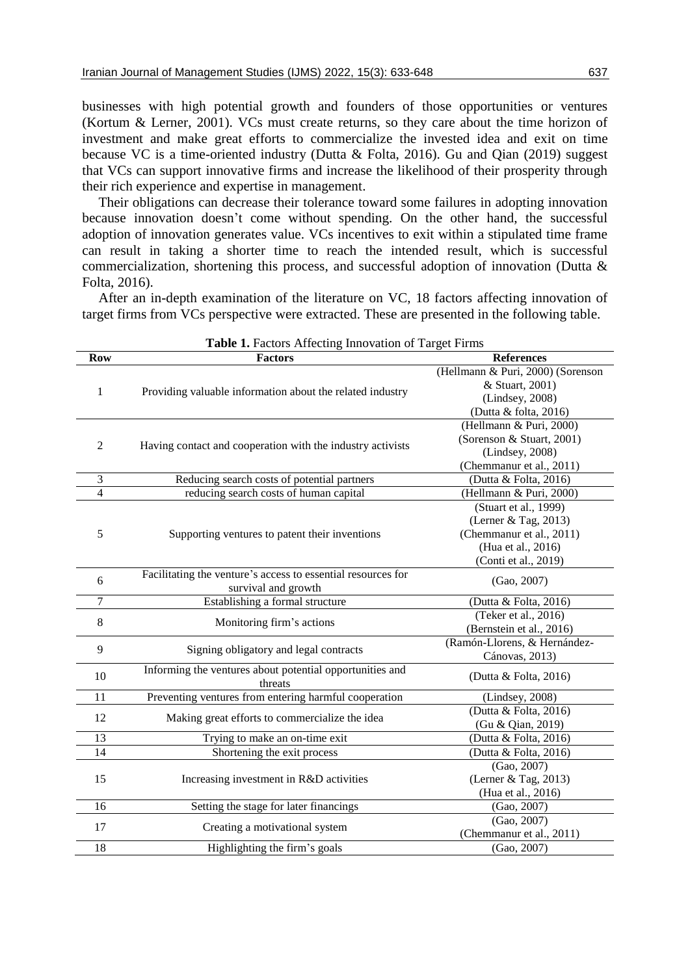businesses with high potential growth and founders of those opportunities or ventures (Kortum & Lerner, 2001). VCs must create returns, so they care about the time horizon of investment and make great efforts to commercialize the invested idea and exit on time because VC is a time-oriented industry (Dutta & Folta, 2016). Gu and Qian (2019) suggest that VCs can support innovative firms and increase the likelihood of their prosperity through their rich experience and expertise in management.

Their obligations can decrease their tolerance toward some failures in adopting innovation because innovation doesn't come without spending. On the other hand, the successful adoption of innovation generates value. VCs incentives to exit within a stipulated time frame can result in taking a shorter time to reach the intended result, which is successful commercialization, shortening this process, and successful adoption of innovation (Dutta & Folta, 2016).

After an in-depth examination of the literature on VC, 18 factors affecting innovation of target firms from VCs perspective were extracted. These are presented in the following table.

|                | <b>rable 1.</b> Pactors Affecting Innovation of Farget Pirins |                                   |
|----------------|---------------------------------------------------------------|-----------------------------------|
| <b>Row</b>     | <b>Factors</b>                                                | <b>References</b>                 |
|                |                                                               | (Hellmann & Puri, 2000) (Sorenson |
| 1              | Providing valuable information about the related industry     | & Stuart, 2001)                   |
|                |                                                               | (Lindsey, 2008)                   |
|                |                                                               | (Dutta & folta, 2016)             |
|                |                                                               | (Hellmann & Puri, 2000)           |
| $\mathfrak{2}$ | Having contact and cooperation with the industry activists    | (Sorenson & Stuart, 2001)         |
|                |                                                               | (Lindsey, 2008)                   |
|                |                                                               | (Chemmanur et al., 2011)          |
| 3              | Reducing search costs of potential partners                   | (Dutta & Folta, 2016)             |
| 4              | reducing search costs of human capital                        | (Hellmann & Puri, 2000)           |
|                |                                                               | (Stuart et al., 1999)             |
|                |                                                               | (Lerner & Tag, 2013)              |
| 5              | Supporting ventures to patent their inventions                | (Chemmanur et al., 2011)          |
|                |                                                               | (Hua et al., 2016)                |
|                |                                                               | (Conti et al., 2019)              |
| 6              | Facilitating the venture's access to essential resources for  | (Gao, 2007)                       |
|                | survival and growth                                           |                                   |
| 7              | Establishing a formal structure                               | (Dutta & Folta, 2016)             |
| 8              | Monitoring firm's actions                                     | (Teker et al., 2016)              |
|                |                                                               | (Bernstein et al., 2016)          |
| 9              | Signing obligatory and legal contracts                        | (Ramón-Llorens, & Hernández-      |
|                |                                                               | Cánovas, 2013)                    |
| 10             | Informing the ventures about potential opportunities and      | (Dutta & Folta, 2016)             |
|                | threats                                                       |                                   |
| 11             | Preventing ventures from entering harmful cooperation         | (Lindsey, 2008)                   |
| 12             | Making great efforts to commercialize the idea                | (Dutta & Folta, 2016)             |
|                |                                                               | (Gu & Qian, 2019)                 |
| 13             | Trying to make an on-time exit                                | (Dutta & Folta, 2016)             |
| 14             | Shortening the exit process                                   | (Dutta & Folta, 2016)             |
|                |                                                               | (Gao, 2007)                       |
| 15             | Increasing investment in R&D activities                       | (Lerner & Tag, 2013)              |
|                |                                                               | (Hua et al., 2016)                |
| 16             | Setting the stage for later financings                        | (Gao, 2007)                       |
| 17             | Creating a motivational system                                | (Gao, 2007)                       |
|                |                                                               | (Chemmanur et al., 2011)          |
| 18             | Highlighting the firm's goals                                 | (Gao, 2007)                       |

**Table 1.** Factors Affecting Innovation of Target Firms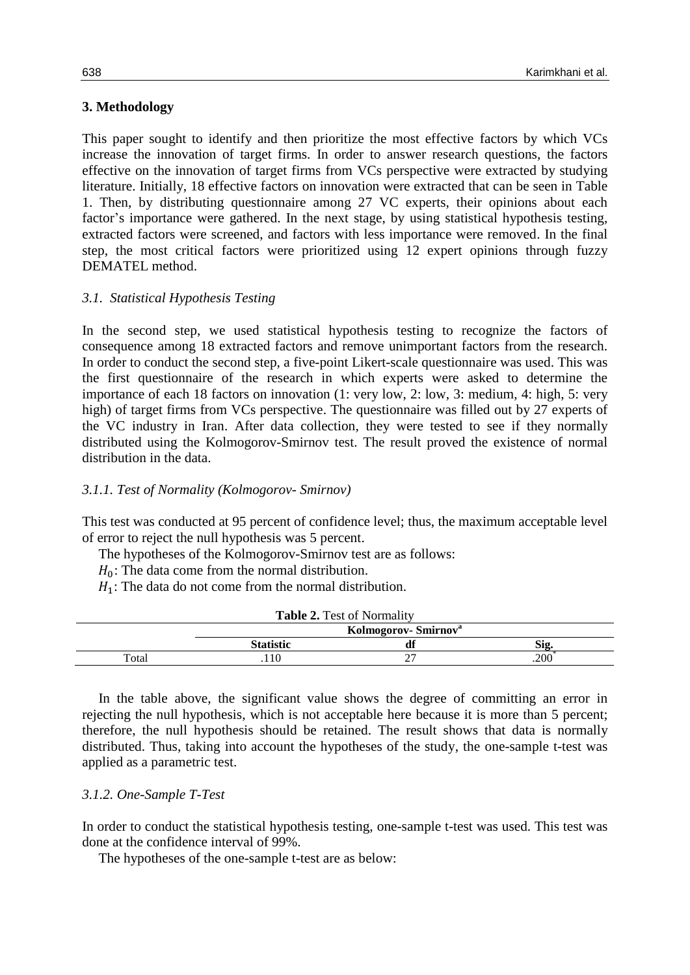## **3. Methodology**

This paper sought to identify and then prioritize the most effective factors by which VCs increase the innovation of target firms. In order to answer research questions, the factors effective on the innovation of target firms from VCs perspective were extracted by studying literature. Initially, 18 effective factors on innovation were extracted that can be seen in Table 1. Then, by distributing questionnaire among 27 VC experts, their opinions about each factor's importance were gathered. In the next stage, by using statistical hypothesis testing, extracted factors were screened, and factors with less importance were removed. In the final step, the most critical factors were prioritized using 12 expert opinions through fuzzy DEMATEL method.

## *3.1. Statistical Hypothesis Testing*

In the second step, we used statistical hypothesis testing to recognize the factors of consequence among 18 extracted factors and remove unimportant factors from the research. In order to conduct the second step, a five-point Likert-scale questionnaire was used. This was the first questionnaire of the research in which experts were asked to determine the importance of each 18 factors on innovation (1: very low, 2: low, 3: medium, 4: high, 5: very high) of target firms from VCs perspective. The questionnaire was filled out by 27 experts of the VC industry in Iran. After data collection, they were tested to see if they normally distributed using the Kolmogorov-Smirnov test. The result proved the existence of normal distribution in the data.

## *3.1.1. Test of Normality (Kolmogorov- Smirnov)*

This test was conducted at 95 percent of confidence level; thus, the maximum acceptable level of error to reject the null hypothesis was 5 percent.

The hypotheses of the Kolmogorov-Smirnov test are as follows:

- $H_0$ : The data come from the normal distribution.
- $H_1$ : The data do not come from the normal distribution.

|       | <b>Table 2.</b> Test of Normality |                                 |     |
|-------|-----------------------------------|---------------------------------|-----|
|       |                                   | Kolmogorov-Smirnov <sup>a</sup> |     |
|       | <b>Statistic</b>                  |                                 | Sig |
| Total |                                   | ∼                               | 200 |

In the table above, the significant value shows the degree of committing an error in rejecting the null hypothesis, which is not acceptable here because it is more than 5 percent; therefore, the null hypothesis should be retained. The result shows that data is normally distributed. Thus, taking into account the hypotheses of the study, the one-sample t-test was applied as a parametric test.

### *3.1.2. One-Sample T-Test*

In order to conduct the statistical hypothesis testing, one-sample t-test was used. This test was done at the confidence interval of 99%.

The hypotheses of the one-sample t-test are as below: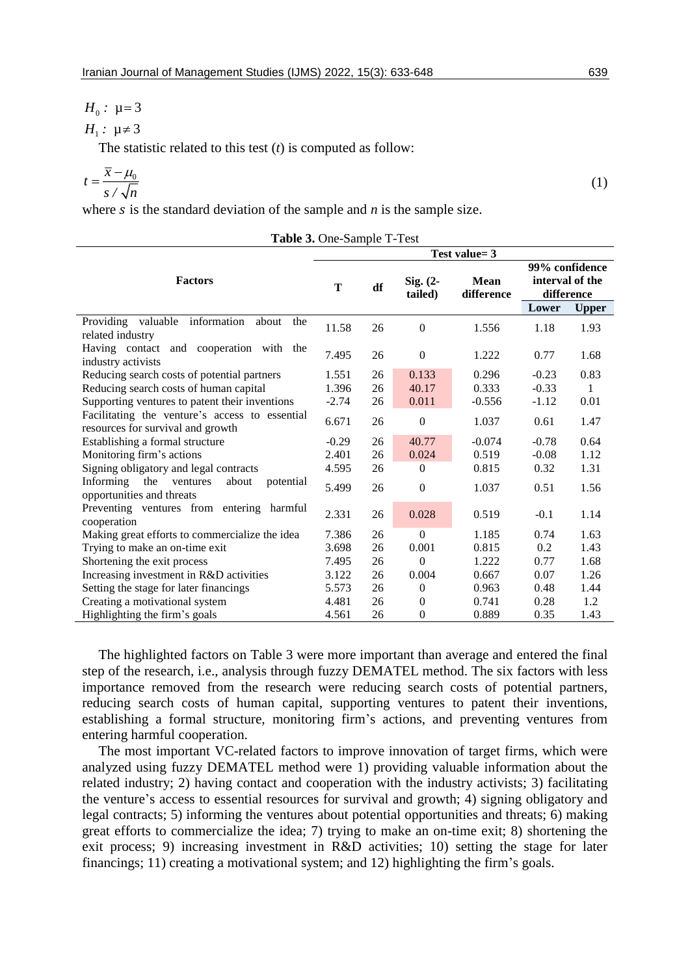(1)

## $H_0$ :  $\mu$ =3

$$
H_1: \mu \neq 3
$$

The statistic related to this test (*t*) is computed as follow:

$$
t = \frac{\overline{x} - \mu_0}{s / \sqrt{n}}
$$

where  $s$  is the standard deviation of the sample and  $n$  is the sample size.

|                                                                                     |         |    |                       | Test value= 3             |                               |                |
|-------------------------------------------------------------------------------------|---------|----|-----------------------|---------------------------|-------------------------------|----------------|
| <b>Factors</b>                                                                      | T       | df | $Sig. (2-$<br>tailed) | <b>Mean</b><br>difference | interval of the<br>difference | 99% confidence |
|                                                                                     |         |    |                       |                           | Lower                         | <b>Upper</b>   |
| Providing valuable information<br>about<br>the<br>related industry                  | 11.58   | 26 | $\mathbf{0}$          | 1.556                     | 1.18                          | 1.93           |
| Having contact and cooperation with the<br>industry activists                       | 7.495   | 26 | $\mathbf{0}$          | 1.222                     | 0.77                          | 1.68           |
| Reducing search costs of potential partners                                         | 1.551   | 26 | 0.133                 | 0.296                     | $-0.23$                       | 0.83           |
| Reducing search costs of human capital                                              | 1.396   | 26 | 40.17                 | 0.333                     | $-0.33$                       | 1              |
| Supporting ventures to patent their inventions                                      | $-2.74$ | 26 | 0.011                 | $-0.556$                  | $-1.12$                       | 0.01           |
| Facilitating the venture's access to essential<br>resources for survival and growth | 6.671   | 26 | $\mathbf{0}$          | 1.037                     | 0.61                          | 1.47           |
| Establishing a formal structure                                                     | $-0.29$ | 26 | 40.77                 | $-0.074$                  | $-0.78$                       | 0.64           |
| Monitoring firm's actions                                                           | 2.401   | 26 | 0.024                 | 0.519                     | $-0.08$                       | 1.12           |
| Signing obligatory and legal contracts                                              | 4.595   | 26 | $\overline{0}$        | 0.815                     | 0.32                          | 1.31           |
| the<br>Informing<br>about<br>ventures<br>potential<br>opportunities and threats     | 5.499   | 26 | $\mathbf{0}$          | 1.037                     | 0.51                          | 1.56           |
| Preventing ventures from entering harmful<br>cooperation                            | 2.331   | 26 | 0.028                 | 0.519                     | $-0.1$                        | 1.14           |
| Making great efforts to commercialize the idea                                      | 7.386   | 26 | $\theta$              | 1.185                     | 0.74                          | 1.63           |
| Trying to make an on-time exit                                                      | 3.698   | 26 | 0.001                 | 0.815                     | 0.2                           | 1.43           |
| Shortening the exit process                                                         | 7.495   | 26 | $\theta$              | 1.222                     | 0.77                          | 1.68           |
| Increasing investment in R&D activities                                             | 3.122   | 26 | 0.004                 | 0.667                     | 0.07                          | 1.26           |
| Setting the stage for later financings                                              | 5.573   | 26 | $\theta$              | 0.963                     | 0.48                          | 1.44           |
| Creating a motivational system                                                      | 4.481   | 26 | $\Omega$              | 0.741                     | 0.28                          | 1.2            |
| Highlighting the firm's goals                                                       | 4.561   | 26 | $\boldsymbol{0}$      | 0.889                     | 0.35                          | 1.43           |

**Table 3.** One-Sample T-Test

The highlighted factors on Table 3 were more important than average and entered the final step of the research, i.e., analysis through fuzzy DEMATEL method. The six factors with less importance removed from the research were reducing search costs of potential partners, reducing search costs of human capital, supporting ventures to patent their inventions, establishing a formal structure, monitoring firm's actions, and preventing ventures from entering harmful cooperation.

The most important VC-related factors to improve innovation of target firms, which were analyzed using fuzzy DEMATEL method were 1) providing valuable information about the related industry; 2) having contact and cooperation with the industry activists; 3) facilitating the venture's access to essential resources for survival and growth; 4) signing obligatory and legal contracts; 5) informing the ventures about potential opportunities and threats; 6) making great efforts to commercialize the idea; 7) trying to make an on-time exit; 8) shortening the exit process; 9) increasing investment in R&D activities; 10) setting the stage for later financings; 11) creating a motivational system; and 12) highlighting the firm's goals.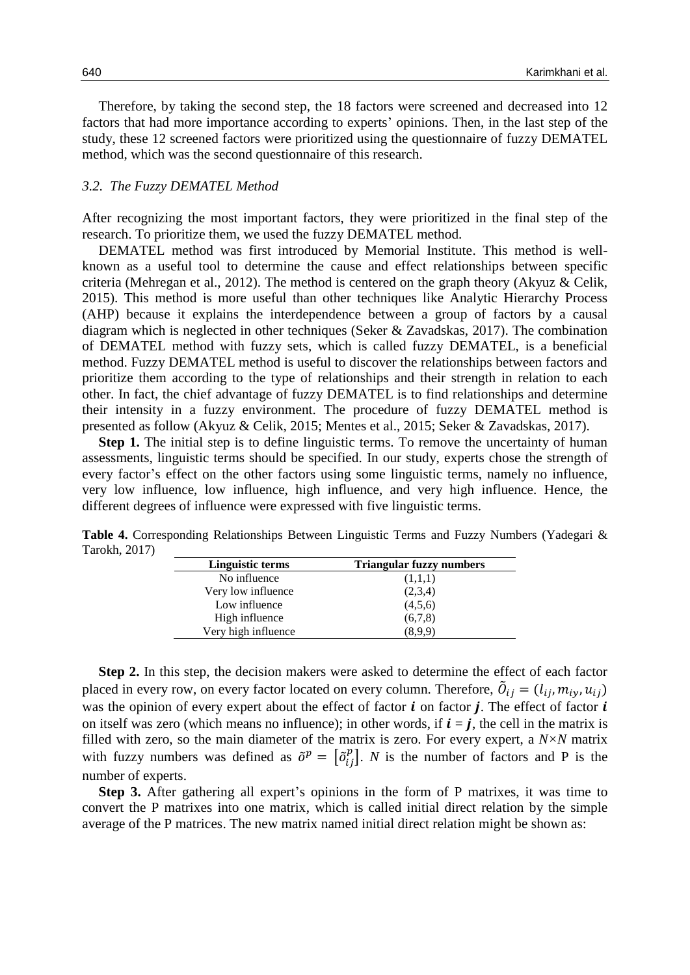Therefore, by taking the second step, the 18 factors were screened and decreased into 12 factors that had more importance according to experts' opinions. Then, in the last step of the study, these 12 screened factors were prioritized using the questionnaire of fuzzy DEMATEL method, which was the second questionnaire of this research.

#### *3.2. The Fuzzy DEMATEL Method*

After recognizing the most important factors, they were prioritized in the final step of the research. To prioritize them, we used the fuzzy DEMATEL method.

DEMATEL method was first introduced by Memorial Institute. This method is wellknown as a useful tool to determine the cause and effect relationships between specific criteria (Mehregan et al., 2012). The method is centered on the graph theory (Akyuz & Celik, 2015). This method is more useful than other techniques like Analytic Hierarchy Process (AHP) because it explains the interdependence between a group of factors by a causal diagram which is neglected in other techniques (Seker & Zavadskas, 2017). The combination of DEMATEL method with fuzzy sets, which is called fuzzy DEMATEL, is a beneficial method. Fuzzy DEMATEL method is useful to discover the relationships between factors and prioritize them according to the type of relationships and their strength in relation to each other. In fact, the chief advantage of fuzzy DEMATEL is to find relationships and determine their intensity in a fuzzy environment. The procedure of fuzzy DEMATEL method is presented as follow (Akyuz & Celik, 2015; Mentes et al., 2015; Seker & Zavadskas, 2017).

**Step 1.** The initial step is to define linguistic terms. To remove the uncertainty of human assessments, linguistic terms should be specified. In our study, experts chose the strength of every factor's effect on the other factors using some linguistic terms, namely no influence, very low influence, low influence, high influence, and very high influence. Hence, the different degrees of influence were expressed with five linguistic terms.

| Linguistic terms    | <b>Triangular fuzzy numbers</b> |
|---------------------|---------------------------------|
| No influence        | (1,1,1)                         |
| Very low influence  | (2,3,4)                         |
| Low influence       | (4,5,6)                         |
| High influence      | (6,7,8)                         |
| Very high influence | (8.9.9)                         |

**Table 4.** Corresponding Relationships Between Linguistic Terms and Fuzzy Numbers (Yadegari & Tarokh, 2017)

**Step 2.** In this step, the decision makers were asked to determine the effect of each factor placed in every row, on every factor located on every column. Therefore,  $\tilde{O}_i$ was the opinion of every expert about the effect of factor  $\boldsymbol{i}$  on factor  $\boldsymbol{j}$ . The effect of factor  $\boldsymbol{i}$ on itself was zero (which means no influence); in other words, if  $\mathbf{i} = \mathbf{j}$ , the cell in the matrix is filled with zero, so the main diameter of the matrix is zero. For every expert, a *N×N* matrix with fuzzy numbers was defined as  $\tilde{\sigma}^p = \left[\tilde{\sigma}_i^p\right]$  $\binom{p}{i}$ . *N* is the number of factors and P is the number of experts.

**Step 3.** After gathering all expert's opinions in the form of P matrixes, it was time to convert the P matrixes into one matrix, which is called initial direct relation by the simple average of the P matrices. The new matrix named initial direct relation might be shown as: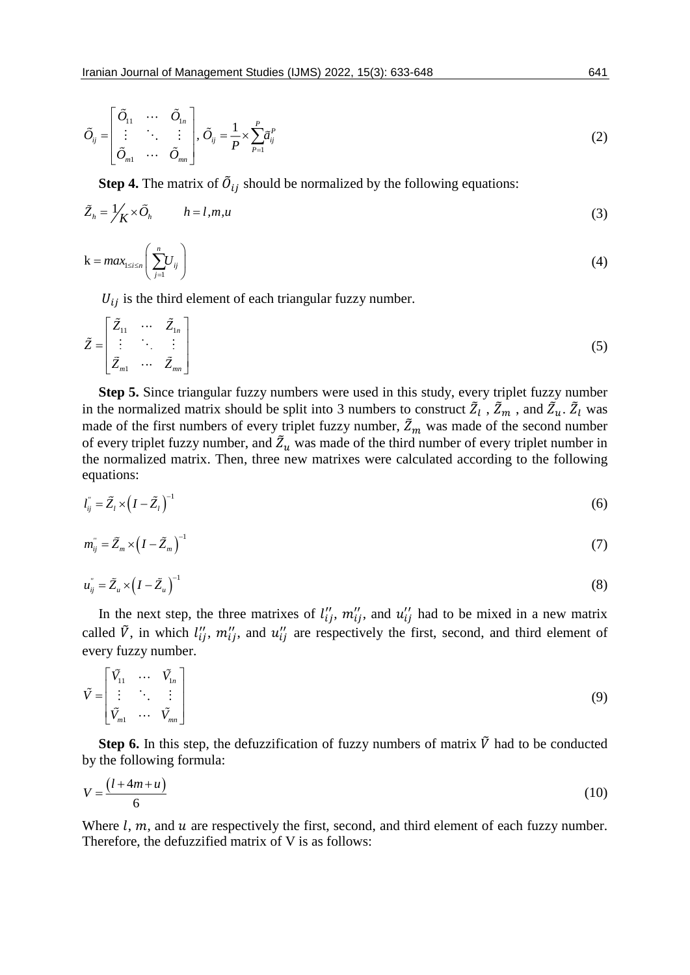$$
\tilde{O}_{ij} = \begin{bmatrix} \tilde{O}_{11} & \cdots & \tilde{O}_{1n} \\ \vdots & \ddots & \vdots \\ \tilde{O}_{m1} & \cdots & \tilde{O}_{mn} \end{bmatrix}, \ \tilde{O}_{ij} = \frac{1}{P} \times \sum_{p=1}^{P} \tilde{a}_{ij}^{P}
$$
\n
$$
(2)
$$

**Step 4.** The matrix of  $\tilde{O}_{ij}$  should be normalized by the following equations:

$$
\tilde{Z}_h = \frac{1}{K} \times \tilde{O}_h \qquad h = l, m, u \tag{3}
$$

$$
k = max_{1 \le i \le n} \left( \sum_{j=1}^{n} U_{ij} \right) \tag{4}
$$

 $U_{ij}$  is the third element of each triangular fuzzy number.

$$
\tilde{Z} = \begin{bmatrix} \tilde{Z}_{11} & \cdots & \tilde{Z}_{1n} \\ \vdots & \ddots & \vdots \\ \tilde{Z}_{m1} & \cdots & \tilde{Z}_{mn} \end{bmatrix}
$$
\n(5)

**Step 5.** Since triangular fuzzy numbers were used in this study, every triplet fuzzy number in the normalized matrix should be split into 3 numbers to construct  $\tilde{Z}_l$ ,  $\tilde{Z}_m$ , and  $\tilde{Z}_u$ .  $\tilde{Z}_l$  was made of the first numbers of every triplet fuzzy number,  $\tilde{Z}_m$  was made of the second number of every triplet fuzzy number, and  $\tilde{Z}_u$  was made of the third number of every triplet number in the normalized matrix. Then, three new matrixes were calculated according to the following equations:

$$
l_{ij}^{\prime\prime} = \tilde{Z}_l \times \left( I - \tilde{Z}_l \right)^{-1} \tag{6}
$$

$$
m_{ij}^{\prime\prime} = \tilde{Z}_m \times \left(I - \tilde{Z}_m\right)^{-1} \tag{7}
$$

$$
u_{ij}^{\prime\prime} = \tilde{Z}_u \times \left(I - \tilde{Z}_u\right)^{-1} \tag{8}
$$

In the next step, the three matrixes of  $l''_{ij}$ ,  $m''_{ij}$ , and  $u''_{ij}$  had to be mixed in a new matrix called  $\tilde{V}$ , in which  $l''_{ij}$ ,  $m''_{ij}$ , and  $u''_{ij}$  are respectively the first, second, and third element of every fuzzy number.

$$
\tilde{V} = \begin{bmatrix} \tilde{V}_{11} & \cdots & \tilde{V}_{1n} \\ \vdots & \ddots & \vdots \\ \tilde{V}_{m1} & \cdots & \tilde{V}_{mn} \end{bmatrix}
$$
\n(9)

**Step 6.** In this step, the defuzzification of fuzzy numbers of matrix  $\tilde{V}$  had to be conducted by the following formula:

$$
V = \frac{\left(l + 4m + u\right)}{6} \tag{10}
$$

Where  $l$ ,  $m$ , and  $u$  are respectively the first, second, and third element of each fuzzy number. Therefore, the defuzzified matrix of V is as follows: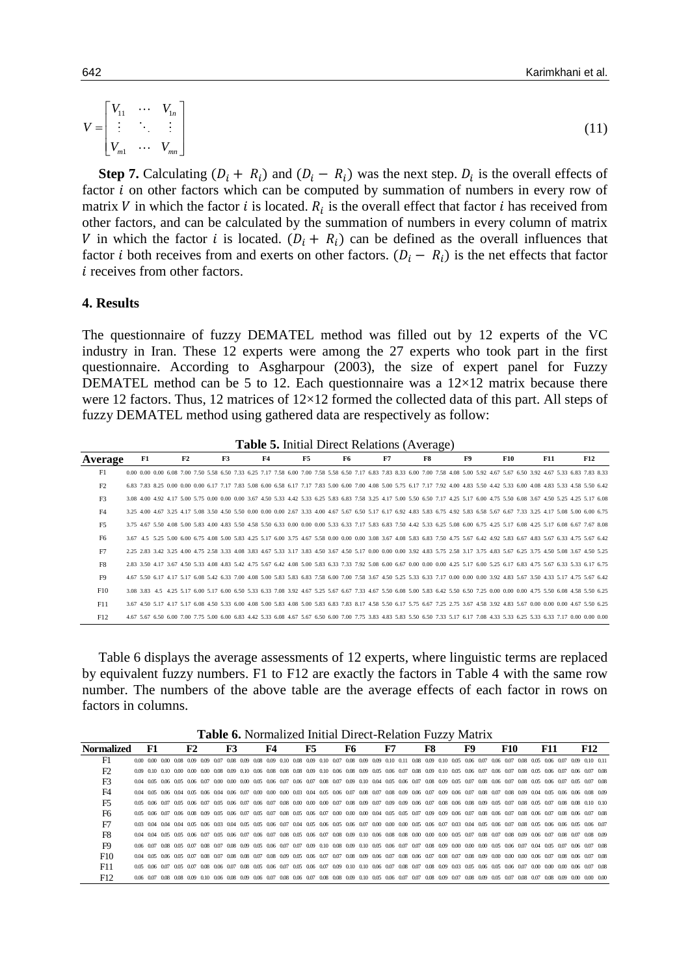$$
V = \begin{bmatrix} V_{11} & \cdots & V_{1n} \\ \vdots & \ddots & \vdots \\ V_{m1} & \cdots & V_{mn} \end{bmatrix}
$$
 (11)

**Step 7.** Calculating  $(D_i + R_i)$  and  $(D_i - R_i)$  was the next step.  $D_i$  is the overall effects of factor  $i$  on other factors which can be computed by summation of numbers in every row of matrix V in which the factor i is located.  $R_i$  is the overall effect that factor i has received from other factors, and can be calculated by the summation of numbers in every column of matrix V in which the factor i is located.  $(D_i + R_i)$  can be defined as the overall influences that factor *i* both receives from and exerts on other factors.  $(D_i - R_i)$  is the net effects that factor  $i$  receives from other factors.

#### **4. Results**

The questionnaire of fuzzy DEMATEL method was filled out by 12 experts of the VC industry in Iran. These 12 experts were among the 27 experts who took part in the first questionnaire. According to Asgharpour (2003), the size of expert panel for Fuzzy DEMATEL method can be 5 to 12. Each questionnaire was a  $12\times12$  matrix because there were 12 factors. Thus, 12 matrices of  $12\times12$  formed the collected data of this part. All steps of fuzzy DEMATEL method using gathered data are respectively as follow:

|                | <b>Table 5.</b> Initial Direct Relations (Average) |                                                                                                                                                                                     |  |    |  |  |    |  |  |    |  |  |    |  |    |  |    |  |    |  |    |  |            |  |            |  |            |  |
|----------------|----------------------------------------------------|-------------------------------------------------------------------------------------------------------------------------------------------------------------------------------------|--|----|--|--|----|--|--|----|--|--|----|--|----|--|----|--|----|--|----|--|------------|--|------------|--|------------|--|
| Average        |                                                    | F1                                                                                                                                                                                  |  | F2 |  |  | F3 |  |  | F4 |  |  | F5 |  | F6 |  | F7 |  | F8 |  | F9 |  | <b>F10</b> |  | <b>F11</b> |  | <b>F12</b> |  |
| F1             |                                                    | 0.00 0.00 0.00 6.08 7.00 7.50 5.58 6.50 7.33 6.25 7.17 7.58 6.00 7.00 7.58 5.58 6.50 7.17 6.83 7.83 8.33 6.00 7.00 7.58 4.08 5.00 5.92 4.67 5.67 6.50 3.92 4.67 5.33 6.83 7.83 8.33 |  |    |  |  |    |  |  |    |  |  |    |  |    |  |    |  |    |  |    |  |            |  |            |  |            |  |
| F2             |                                                    | 6.83 7.83 8.25 0.00 0.00 6.00 6.17 7.17 7.83 5.08 6.00 6.58 6.17 7.17 7.83 5.00 6.00 7.00 4.08 5.00 5.75 6.17 7.17 7.92 4.00 4.83 5.50 4.42 5.33 6.00 4.08 4.83 5.33 4.58 5.50 6.42 |  |    |  |  |    |  |  |    |  |  |    |  |    |  |    |  |    |  |    |  |            |  |            |  |            |  |
| F <sub>3</sub> |                                                    | 3.08 4.00 4.92 4.17 5.00 5.75 0.00 0.00 3.67 4.50 5.33 4.42 5.33 6.25 5.83 6.83 7.58 3.25 4.17 5.00 5.50 6.50 7.17 4.25 5.17 6.00 4.75 5.50 6.08 3.67 4.50 5.25 4.25 5.17 6.08      |  |    |  |  |    |  |  |    |  |  |    |  |    |  |    |  |    |  |    |  |            |  |            |  |            |  |
| F4             |                                                    | 3.25 4.00 4.67 3.25 4.17 5.08 3.50 4.50 5.50 0.00 0.00 0.00 2.67 3.33 4.00 4.67 5.67 6.50 5.17 6.17 6.92 4.83 5.83 6.75 4.92 5.83 6.58 5.67 6.67 7.33 3.25 4.17 5.08 5.00 6.00 6.75 |  |    |  |  |    |  |  |    |  |  |    |  |    |  |    |  |    |  |    |  |            |  |            |  |            |  |
| <b>F5</b>      |                                                    | 3.75 4.67 5.50 4.08 5.00 5.83 4.00 4.83 5.50 4.58 5.50 6.33 0.00 0.00 5.33 6.33 7.17 5.83 6.83 7.50 4.42 5.33 6.25 5.08 6.00 6.75 4.25 5.17 6.08 4.25 5.17 6.08 6.67 7.67 8.08      |  |    |  |  |    |  |  |    |  |  |    |  |    |  |    |  |    |  |    |  |            |  |            |  |            |  |
| F <sub>6</sub> |                                                    | 3.67 4.5 5.25 5.00 6.00 6.75 4.08 5.00 5.83 4.25 5.17 6.00 3.75 4.67 5.58 0.00 0.00 3.08 3.67 4.08 5.83 6.83 7.50 4.75 5.67 6.42 4.92 5.83 6.67 4.83 5.67 6.33 4.75 5.67 6.42       |  |    |  |  |    |  |  |    |  |  |    |  |    |  |    |  |    |  |    |  |            |  |            |  |            |  |
| F7             |                                                    | 2.25 2.83 3.42 3.25 4.00 4.75 2.58 3.33 4.08 3.83 4.67 5.33 3.17 3.83 4.50 3.67 4.50 5.17 0.00 0.00 0.00 3.92 4.83 5.75 2.58 3.17 3.75 4.83 5.67 6.25 3.75 4.50 5.08 3.67 4.50 5.25 |  |    |  |  |    |  |  |    |  |  |    |  |    |  |    |  |    |  |    |  |            |  |            |  |            |  |
| F8             |                                                    | 2.83 3.50 4.17 3.67 4.50 5.33 4.08 4.83 5.42 4.75 5.67 6.42 4.08 5.00 5.83 6.33 7.33 7.92 5.08 6.00 6.67 0.00 0.00 0.00 4.25 5.17 6.00 5.25 6.17 6.83 4.75 5.67 6.33 5.33 6.17 6.75 |  |    |  |  |    |  |  |    |  |  |    |  |    |  |    |  |    |  |    |  |            |  |            |  |            |  |
| F <sub>9</sub> |                                                    | 467 550 6.17 4.17 5.17 6.08 5.42 6.33 7.00 4.08 5.00 5.83 5.83 6.83 7.58 6.00 7.00 7.58 3.67 4.50 5.25 5.33 6.33 7.17 0.00 0.00 0.00 3.92 4.83 5.67 3.50 4.33 5.17 4.75 5.67 6.42   |  |    |  |  |    |  |  |    |  |  |    |  |    |  |    |  |    |  |    |  |            |  |            |  |            |  |
| F10            |                                                    | 3.08 3.83 4.5 4.25 5.17 6.00 5.17 6.00 6.50 5.33 6.33 7.08 3.92 4.67 5.25 5.67 6.67 7.33 4.67 5.50 6.08 5.00 5.83 6.42 5.50 6.50 7.25 0.00 0.00 0.00 4.75 5.50 6.08 4.58 5.50 6.25  |  |    |  |  |    |  |  |    |  |  |    |  |    |  |    |  |    |  |    |  |            |  |            |  |            |  |
| F11            |                                                    | 3.67 4.50 5.17 4.17 5.17 6.08 4.50 5.33 6.00 4.08 5.00 5.83 4.08 5.00 5.83 6.83 7.83 8.17 4.58 5.50 6.17 5.75 6.67 7.25 2.75 3.67 4.58 3.92 4.83 5.67 0.00 0.00 0.00 4.67 5.50 6.25 |  |    |  |  |    |  |  |    |  |  |    |  |    |  |    |  |    |  |    |  |            |  |            |  |            |  |
| F12            |                                                    | 4.67 5.67 6.50 6.00 7.00 7.75 5.00 6.00 6.83 4.42 5.33 6.08 4.67 5.67 6.50 6.00 7.00 7.75 3.83 4.83 5.53 6.50 7.33 5.17 6.17 7.08 4.33 5.33 6.25 5.33 6.33 7.17 0.00 0.00 0.00      |  |    |  |  |    |  |  |    |  |  |    |  |    |  |    |  |    |  |    |  |            |  |            |  |            |  |

Table 6 displays the average assessments of 12 experts, where linguistic terms are replaced by equivalent fuzzy numbers. F1 to F12 are exactly the factors in Table 4 with the same row number. The numbers of the above table are the average effects of each factor in rows on factors in columns.

| <b>Normalized</b> | F1        |      |      | F2                                                                                        |      | F3 |  | F4                                                          |  | F5 |  | F6   |           | F7             |  | F8                                 |  | F9             |           | <b>F10</b> |                                                                                                                                                       | <b>F11</b> |      |       | <b>F12</b>                                                                                                                                                                                                                      |  |
|-------------------|-----------|------|------|-------------------------------------------------------------------------------------------|------|----|--|-------------------------------------------------------------|--|----|--|------|-----------|----------------|--|------------------------------------|--|----------------|-----------|------------|-------------------------------------------------------------------------------------------------------------------------------------------------------|------------|------|-------|---------------------------------------------------------------------------------------------------------------------------------------------------------------------------------------------------------------------------------|--|
| F1                | 0.000000  | 0.00 |      | 0.08 0.09 0.09                                                                            |      |    |  | 0.07 0.08 0.09 0.08 0.09 0.10 0.08 0.09 0.10 0.07           |  |    |  | 0.08 | 0.09      | 0.09 0.10 0.11 |  | 0.08 0.09 0.10 0.05                |  | 0.06 0.07      | 0.06 0.07 |            | 0.08 0.05 0.06 0.07                                                                                                                                   |            |      | 0.09  | $0.10 \quad 0.11$                                                                                                                                                                                                               |  |
| F2                |           |      |      | 0.09 0.10 0.10 0.00 0.00 0.00 0.08 0.09 0.10 0.06 0.08 0.08 0.08 0.09 0.10 0.06 0.08 0.09 |      |    |  |                                                             |  |    |  |      |           |                |  |                                    |  |                |           |            | 0.05 0.06 0.07 0.08 0.09 0.10 0.05 0.06 0.07 0.06 0.07 0.08 0.05 0.06 0.07                                                                            |            |      | .006  | 007 008                                                                                                                                                                                                                         |  |
| F <sub>3</sub>    | 0.04 0.05 |      |      |                                                                                           |      |    |  |                                                             |  |    |  |      |           |                |  |                                    |  |                |           |            | .006.005.006.007.000.000.000.005.006.007.006.007.008.007.009.010.004.005.006.007.008.009.005.007.008.006.007.008.005.006.007                          |            |      |       | 0.05 0.07 0.08                                                                                                                                                                                                                  |  |
| F4                | 0.04 0.05 |      |      |                                                                                           |      |    |  |                                                             |  |    |  |      |           |                |  |                                    |  |                |           |            |                                                                                                                                                       |            |      |       | 0.06 0.04 0.05 0.06 0.04 0.06 0.07 0.00 0.00 0.00 0.03 0.04 0.05 0.06 0.07 0.08 0.07 0.08 0.07 0.06 0.07 0.06 0.07 0.08 0.07 0.08 0.09 0.04 0.05 0.06 0.06 0.09 0.09 0.04 0.06 0.06 0.09 0.09 0.04 0.05 0.06 0.08 0.09 0.04 0.0 |  |
| F <sub>5</sub>    | 0.05 0.06 | -007 | 0.05 | 0.06 0.07                                                                                 |      |    |  | 0.05 0.06 0.07 0.06 0.07 0.08 0.00 0.00 0.00 0.07           |  |    |  | 0.08 | 0.09      | 0.07 0.09 0.09 |  | 0.06 0.07 0.08 0.06                |  | 0.08 0.09 0.05 |           | 0.07       | 0.08 0.05 0.07                                                                                                                                        |            | 0.08 | 0.08  | 0.10 0.10                                                                                                                                                                                                                       |  |
| F <sub>6</sub>    | 005 006   | 007  |      | 006 008 009                                                                               |      |    |  | 0.05 0.06 0.07 0.05 0.07 0.08 0.05 0.06 0.07 0.00 0.00 0.00 |  |    |  |      |           |                |  |                                    |  |                |           |            | 0.04 0.05 0.05 0.07 0.09 0.09 0.06 0.07 0.08 0.06 0.07 0.08 0.06 0.07                                                                                 |            | 008  | - 006 | 007 008                                                                                                                                                                                                                         |  |
| F7                | 003 004   |      |      |                                                                                           |      |    |  |                                                             |  |    |  |      |           |                |  |                                    |  |                |           |            | .004 004 005 006 003 004 005 005 006 007 004 005 006 005 006 007 000 000 000 005 006 007 003 004 005 006 007 008 005 006 006 005                      |            |      |       | . 006. 007                                                                                                                                                                                                                      |  |
| F <sub>8</sub>    | 0.04 0.04 |      |      |                                                                                           |      |    |  |                                                             |  |    |  |      |           |                |  |                                    |  |                |           |            | .005.005.006.007.005.006.007.006.007.008.005.006.007.008.009.010.006.008.008.000.000.000.005.007.008.007.008.009.006.007                              |            | 0.08 | 0.07  | 0.08 0.09                                                                                                                                                                                                                       |  |
| FQ                | 0.06 0.07 |      |      |                                                                                           |      |    |  |                                                             |  |    |  |      |           |                |  |                                    |  |                |           |            | .008.005.007.008.007.008.009.005.006.007.007.009.010.008.009.010.005.006.007.007.008.009.000.000.000.005.006.007.004.005.007                          |            |      |       | 0.06 0.07 0.08                                                                                                                                                                                                                  |  |
| F10               | 0.04 0.05 |      |      | 0.06 0.05 0.07                                                                            | 0.08 |    |  | 0.07 0.08 0.08 0.07 0.08 0.09 0.05 0.06 0.07 0.07           |  |    |  |      | 0.08 0.09 | 0.06 0.07      |  | 0.08 0.06 0.07 0.08 0.07           |  |                |           |            | . ᲘᲘᲬ ᲘᲘ9 ᲘᲘᲘ ᲘᲘᲘ ᲘᲘᲘ ᲘᲘᲜ ᲘᲘ7                                                                                                                         |            | 0.08 | -0.06 | 0.07 0.08                                                                                                                                                                                                                       |  |
| F11               | 0.05 0.06 | 0.07 |      |                                                                                           |      |    |  |                                                             |  |    |  |      |           |                |  |                                    |  |                |           |            | 0.05 0.07 0.08 0.06 0.07 0.08 0.05 0.06 0.07 0.05 0.06 0.07 0.09 0.10 0.10 0.06 0.07 0.08 0.07 0.08 0.09 0.03 0.05 0.06 0.05 0.06 0.07 0.00 0.00 0.00 |            |      | 0.06  | 007 008                                                                                                                                                                                                                         |  |
| F12               | 0.06 0.07 |      |      | 0.08 0.08 0.09 0.10 0.06 0.08 0.09 0.06 0.07 0.08 0.06 0.07 0.08 0.08 0.09 0.10           |      |    |  |                                                             |  |    |  |      |           |                |  | 0.05 0.06 0.07 0.07 0.08 0.09 0.07 |  |                |           |            | 0.08 0.09 0.05 0.07 0.08 0.07 0.08 0.09                                                                                                               |            |      | 0.00  | -0.00 -0.00                                                                                                                                                                                                                     |  |

**Table 6.** Normalized Initial Direct-Relation Fuzzy Matrix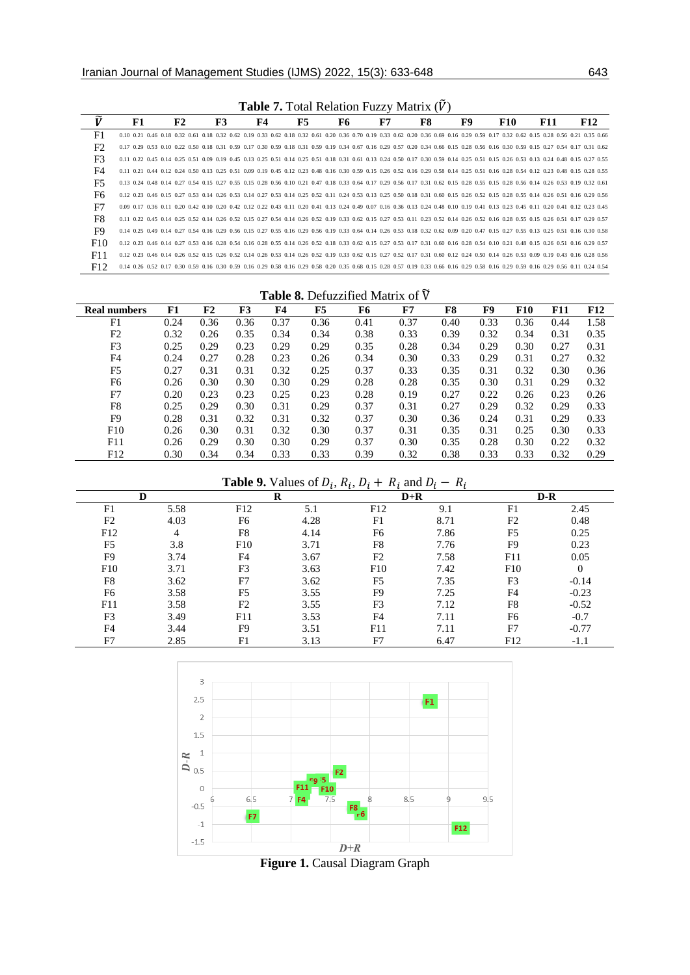| <b>Table 7.</b> Fotal Relation Fuzzy Matrix (V) |    |    |           |    |    |    |    |                                                                                                                                                                                     |     |            |            |
|-------------------------------------------------|----|----|-----------|----|----|----|----|-------------------------------------------------------------------------------------------------------------------------------------------------------------------------------------|-----|------------|------------|
| ĩž                                              | F1 | F2 | <b>F3</b> | F4 | F5 | F6 | F7 | F9<br>F8                                                                                                                                                                            | F10 | <b>F11</b> | <b>F12</b> |
| F <sub>1</sub>                                  |    |    |           |    |    |    |    | 0.10 0.21 0.46 0.18 0.32 0.61 0.18 0.32 0.62 0.19 0.33 0.62 0.18 0.32 0.61 0.20 0.36 0.70 0.19 0.33 0.62 0.20 0.36 0.69 0.16 0.29 0.59 0.17 0.32 0.62 0.15 0.28 0.56 0.21 0.35 0.66 |     |            |            |
| F <sub>2</sub>                                  |    |    |           |    |    |    |    | 0.17 0.29 0.53 0.10 0.22 0.50 0.18 0.31 0.59 0.17 0.30 0.59 0.18 0.31 0.59 0.19 0.34 0.67 0.16 0.29 0.57 0.20 0.34 0.66 0.15 0.28 0.56 0.16 0.30 0.59 0.15 0.27 0.54 0.17 0.31 0.62 |     |            |            |
| F <sub>3</sub>                                  |    |    |           |    |    |    |    | 0.11 0.22 0.45 0.14 0.25 0.51 0.09 0.19 0.45 0.13 0.25 0.51 0.14 0.25 0.51 0.18 0.31 0.61 0.13 0.24 0.50 0.17 0.30 0.59 0.14 0.25 0.51 0.15 0.26 0.53 0.13 0.24 0.48 0.15 0.27 0.55 |     |            |            |
| F4                                              |    |    |           |    |    |    |    | 0.11 0.21 0.44 0.12 0.24 0.50 0.13 0.25 0.51 0.09 0.19 0.45 0.12 0.23 0.48 0.16 0.30 0.59 0.15 0.26 0.52 0.16 0.29 0.58 0.14 0.25 0.51 0.16 0.28 0.54 0.12 0.23 0.48 0.15 0.28 0.55 |     |            |            |
| F5                                              |    |    |           |    |    |    |    | 0.13 0.24 0.48 0.14 0.27 0.54 0.15 0.27 0.55 0.15 0.28 0.56 0.10 0.21 0.47 0.18 0.33 0.64 0.17 0.29 0.56 0.17 0.31 0.62 0.15 0.28 0.55 0.15 0.28 0.56 0.14 0.26 0.53 0.19 0.32 0.61 |     |            |            |
| F6                                              |    |    |           |    |    |    |    | 0.12 0.23 0.46 0.15 0.27 0.53 0.14 0.26 0.53 0.14 0.27 0.53 0.14 0.25 0.52 0.11 0.24 0.53 0.13 0.25 0.50 0.18 0.31 0.60 0.15 0.26 0.52 0.15 0.28 0.55 0.14 0.26 0.51 0.16 0.29 0.56 |     |            |            |
| F7                                              |    |    |           |    |    |    |    | 0.09 0.17 0.36 0.11 0.20 0.42 0.10 0.20 0.42 0.12 0.22 0.43 0.11 0.20 0.41 0.13 0.24 0.49 0.07 0.16 0.36 0.13 0.24 0.48 0.10 0.19 0.41 0.13 0.23 0.45 0.11 0.20 0.41 0.12 0.23 0.45 |     |            |            |
| F8                                              |    |    |           |    |    |    |    | 0.11 0.22 0.45 0.14 0.25 0.52 0.14 0.26 0.52 0.15 0.27 0.54 0.14 0.26 0.52 0.19 0.33 0.62 0.15 0.27 0.53 0.11 0.23 0.52 0.14 0.26 0.52 0.16 0.28 0.55 0.15 0.26 0.51 0.17 0.29 0.57 |     |            |            |
| F9                                              |    |    |           |    |    |    |    | 0.14 0.25 0.49 0.14 0.27 0.54 0.16 0.29 0.56 0.15 0.27 0.55 0.16 0.29 0.56 0.19 0.33 0.64 0.14 0.26 0.53 0.18 0.32 0.62 0.09 0.20 0.47 0.15 0.27 0.55 0.13 0.25 0.51 0.16 0.30 0.58 |     |            |            |
| F10                                             |    |    |           |    |    |    |    | 0.12 0.23 0.46 0.14 0.27 0.53 0.16 0.28 0.54 0.16 0.28 0.55 0.14 0.26 0.52 0.18 0.33 0.62 0.15 0.27 0.53 0.17 0.31 0.60 0.16 0.28 0.54 0.10 0.21 0.48 0.15 0.26 0.51 0.16 0.29 0.57 |     |            |            |
| F11                                             |    |    |           |    |    |    |    | 0.12 0.23 0.46 0.14 0.26 0.52 0.15 0.26 0.52 0.14 0.26 0.53 0.14 0.26 0.52 0.19 0.33 0.62 0.15 0.27 0.52 0.17 0.31 0.60 0.12 0.24 0.50 0.14 0.26 0.53 0.09 0.19 0.43 0.16 0.28 0.56 |     |            |            |
| F12                                             |    |    |           |    |    |    |    | 0.14 0.26 0.52 0.17 0.30 0.59 0.16 0.30 0.59 0.16 0.29 0.58 0.16 0.29 0.58 0.20 0.35 0.68 0.15 0.28 0.57 0.19 0.33 0.66 0.16 0.29 0.58 0.16 0.29 0.59 0.16 0.29 0.56 0.11 0.24 0.54 |     |            |            |

**Table 7.** Total Relation Fuzzy Matrix ( $\tilde{V}$ )

|                     |      |                |      |      |      | <b>Table 8.</b> Defuzzified Matrix of $\overline{V}$ |      |      |      |            |            |      |
|---------------------|------|----------------|------|------|------|------------------------------------------------------|------|------|------|------------|------------|------|
| <b>Real numbers</b> | F1   | F <sub>2</sub> | F3   | F4   | F5   | F6                                                   | F7   | F8   | F9   | <b>F10</b> | <b>F11</b> | F12  |
| F1                  | 0.24 | 0.36           | 0.36 | 0.37 | 0.36 | 0.41                                                 | 0.37 | 0.40 | 0.33 | 0.36       | 0.44       | 1.58 |
| F <sub>2</sub>      | 0.32 | 0.26           | 0.35 | 0.34 | 0.34 | 0.38                                                 | 0.33 | 0.39 | 0.32 | 0.34       | 0.31       | 0.35 |
| F <sub>3</sub>      | 0.25 | 0.29           | 0.23 | 0.29 | 0.29 | 0.35                                                 | 0.28 | 0.34 | 0.29 | 0.30       | 0.27       | 0.31 |
| F4                  | 0.24 | 0.27           | 0.28 | 0.23 | 0.26 | 0.34                                                 | 0.30 | 0.33 | 0.29 | 0.31       | 0.27       | 0.32 |
| F <sub>5</sub>      | 0.27 | 0.31           | 0.31 | 0.32 | 0.25 | 0.37                                                 | 0.33 | 0.35 | 0.31 | 0.32       | 0.30       | 0.36 |
| F6                  | 0.26 | 0.30           | 0.30 | 0.30 | 0.29 | 0.28                                                 | 0.28 | 0.35 | 0.30 | 0.31       | 0.29       | 0.32 |
| F7                  | 0.20 | 0.23           | 0.23 | 0.25 | 0.23 | 0.28                                                 | 0.19 | 0.27 | 0.22 | 0.26       | 0.23       | 0.26 |
| F <sub>8</sub>      | 0.25 | 0.29           | 0.30 | 0.31 | 0.29 | 0.37                                                 | 0.31 | 0.27 | 0.29 | 0.32       | 0.29       | 0.33 |
| F9                  | 0.28 | 0.31           | 0.32 | 0.31 | 0.32 | 0.37                                                 | 0.30 | 0.36 | 0.24 | 0.31       | 0.29       | 0.33 |
| F10                 | 0.26 | 0.30           | 0.31 | 0.32 | 0.30 | 0.37                                                 | 0.31 | 0.35 | 0.31 | 0.25       | 0.30       | 0.33 |
| F11                 | 0.26 | 0.29           | 0.30 | 0.30 | 0.29 | 0.37                                                 | 0.30 | 0.35 | 0.28 | 0.30       | 0.22       | 0.32 |
| F12                 | 0.30 | 0.34           | 0.34 | 0.33 | 0.33 | 0.39                                                 | 0.32 | 0.38 | 0.33 | 0.33       | 0.32       | 0.29 |

#### **Table 9.** Values of  $D_i$ ,  $R_i$ ,  $D_i + R_i$  and D

|                | D    |                | R    |                | $D+R$ |                | $D-R$          |
|----------------|------|----------------|------|----------------|-------|----------------|----------------|
| F1             | 5.58 | F12            | 5.1  | F12            | 9.1   | F1             | 2.45           |
| F2             | 4.03 | F6             | 4.28 | F1             | 8.71  | F <sub>2</sub> | 0.48           |
| F12            | 4    | F8             | 4.14 | F6             | 7.86  | F <sub>5</sub> | 0.25           |
| F <sub>5</sub> | 3.8  | F10            | 3.71 | F8             | 7.76  | F <sub>9</sub> | 0.23           |
| F <sub>9</sub> | 3.74 | F4             | 3.67 | F2             | 7.58  | F11            | 0.05           |
| F10            | 3.71 | F3             | 3.63 | F10            | 7.42  | F10            | $\overline{0}$ |
| F8             | 3.62 | F7             | 3.62 | F <sub>5</sub> | 7.35  | F3             | $-0.14$        |
| F <sub>6</sub> | 3.58 | F5             | 3.55 | F9             | 7.25  | F <sub>4</sub> | $-0.23$        |
| F11            | 3.58 | F <sub>2</sub> | 3.55 | F3             | 7.12  | F8             | $-0.52$        |
| F3             | 3.49 | F11            | 3.53 | F4             | 7.11  | F6             | $-0.7$         |
| F <sub>4</sub> | 3.44 | F9             | 3.51 | F11            | 7.11  | F7             | $-0.77$        |
| F7             | 2.85 | F1             | 3.13 | F7             | 6.47  | F12            | $-1.1$         |



**Figure 1.** Causal Diagram Graph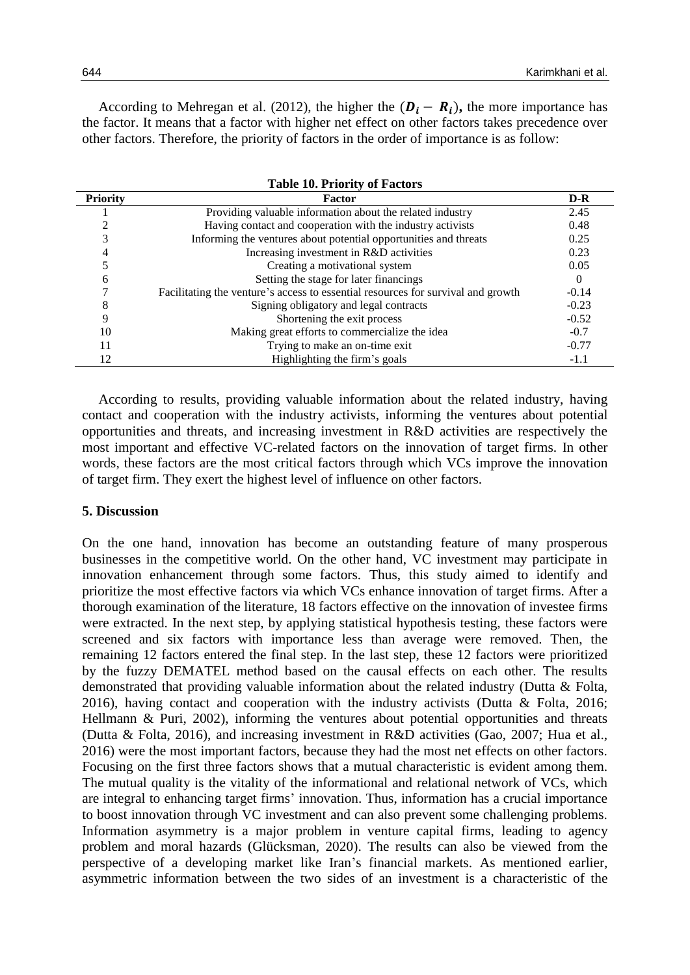According to Mehregan et al. (2012), the higher the  $(\mathbf{D}_i - \mathbf{R}_i)$ , the more importance has the factor. It means that a factor with higher net effect on other factors takes precedence over other factors. Therefore, the priority of factors in the order of importance is as follow:

|                 | <b>Table 10. Priority of Factors</b>                                             |          |
|-----------------|----------------------------------------------------------------------------------|----------|
| <b>Priority</b> | <b>Factor</b>                                                                    | $D-R$    |
|                 | Providing valuable information about the related industry                        | 2.45     |
|                 | Having contact and cooperation with the industry activists                       | 0.48     |
|                 | Informing the ventures about potential opportunities and threats                 | 0.25     |
|                 | Increasing investment in R&D activities                                          | 0.23     |
|                 | Creating a motivational system                                                   | 0.05     |
| h               | Setting the stage for later financings                                           | $\Omega$ |
|                 | Facilitating the venture's access to essential resources for survival and growth | $-0.14$  |
| 8               | Signing obligatory and legal contracts                                           | $-0.23$  |
| 9               | Shortening the exit process                                                      | $-0.52$  |
| 10              | Making great efforts to commercialize the idea                                   | $-0.7$   |
| 11              | Trying to make an on-time exit                                                   | $-0.77$  |
| 12              | Highlighting the firm's goals                                                    | $-1.1$   |

According to results, providing valuable information about the related industry, having contact and cooperation with the industry activists, informing the ventures about potential opportunities and threats, and increasing investment in R&D activities are respectively the most important and effective VC-related factors on the innovation of target firms. In other words, these factors are the most critical factors through which VCs improve the innovation of target firm. They exert the highest level of influence on other factors.

#### **5. Discussion**

On the one hand, innovation has become an outstanding feature of many prosperous businesses in the competitive world. On the other hand, VC investment may participate in innovation enhancement through some factors. Thus, this study aimed to identify and prioritize the most effective factors via which VCs enhance innovation of target firms. After a thorough examination of the literature, 18 factors effective on the innovation of investee firms were extracted. In the next step, by applying statistical hypothesis testing, these factors were screened and six factors with importance less than average were removed. Then, the remaining 12 factors entered the final step. In the last step, these 12 factors were prioritized by the fuzzy DEMATEL method based on the causal effects on each other. The results demonstrated that providing valuable information about the related industry (Dutta & Folta, 2016), having contact and cooperation with the industry activists (Dutta & Folta, 2016; Hellmann & Puri, 2002), informing the ventures about potential opportunities and threats (Dutta & Folta, 2016), and increasing investment in R&D activities (Gao, 2007; Hua et al., 2016) were the most important factors, because they had the most net effects on other factors. Focusing on the first three factors shows that a mutual characteristic is evident among them. The mutual quality is the vitality of the informational and relational network of VCs, which are integral to enhancing target firms' innovation. Thus, information has a crucial importance to boost innovation through VC investment and can also prevent some challenging problems. Information asymmetry is a major problem in venture capital firms, leading to agency problem and moral hazards (Glücksman, 2020). The results can also be viewed from the perspective of a developing market like Iran's financial markets. As mentioned earlier, asymmetric information between the two sides of an investment is a characteristic of the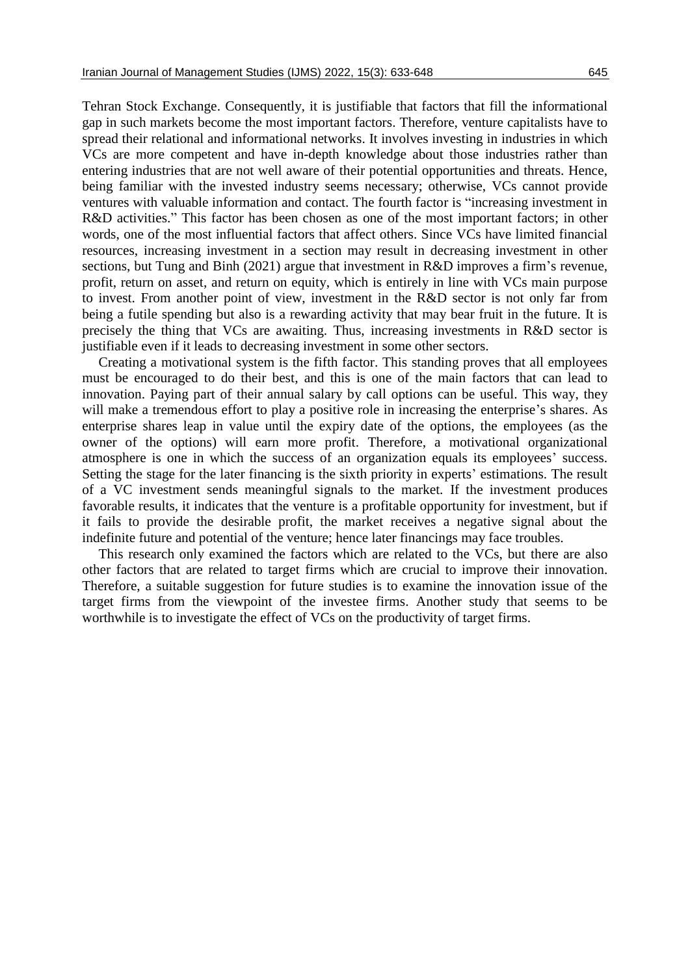Tehran Stock Exchange. Consequently, it is justifiable that factors that fill the informational gap in such markets become the most important factors. Therefore, venture capitalists have to spread their relational and informational networks. It involves investing in industries in which VCs are more competent and have in-depth knowledge about those industries rather than entering industries that are not well aware of their potential opportunities and threats. Hence, being familiar with the invested industry seems necessary; otherwise, VCs cannot provide ventures with valuable information and contact. The fourth factor is "increasing investment in R&D activities." This factor has been chosen as one of the most important factors; in other words, one of the most influential factors that affect others. Since VCs have limited financial resources, increasing investment in a section may result in decreasing investment in other sections, but Tung and Binh (2021) argue that investment in R&D improves a firm's revenue, profit, return on asset, and return on equity, which is entirely in line with VCs main purpose to invest. From another point of view, investment in the R&D sector is not only far from being a futile spending but also is a rewarding activity that may bear fruit in the future. It is precisely the thing that VCs are awaiting. Thus, increasing investments in R&D sector is justifiable even if it leads to decreasing investment in some other sectors.

Creating a motivational system is the fifth factor. This standing proves that all employees must be encouraged to do their best, and this is one of the main factors that can lead to innovation. Paying part of their annual salary by call options can be useful. This way, they will make a tremendous effort to play a positive role in increasing the enterprise's shares. As enterprise shares leap in value until the expiry date of the options, the employees (as the owner of the options) will earn more profit. Therefore, a motivational organizational atmosphere is one in which the success of an organization equals its employees' success. Setting the stage for the later financing is the sixth priority in experts' estimations. The result of a VC investment sends meaningful signals to the market. If the investment produces favorable results, it indicates that the venture is a profitable opportunity for investment, but if it fails to provide the desirable profit, the market receives a negative signal about the indefinite future and potential of the venture; hence later financings may face troubles.

This research only examined the factors which are related to the VCs, but there are also other factors that are related to target firms which are crucial to improve their innovation. Therefore, a suitable suggestion for future studies is to examine the innovation issue of the target firms from the viewpoint of the investee firms. Another study that seems to be worthwhile is to investigate the effect of VCs on the productivity of target firms.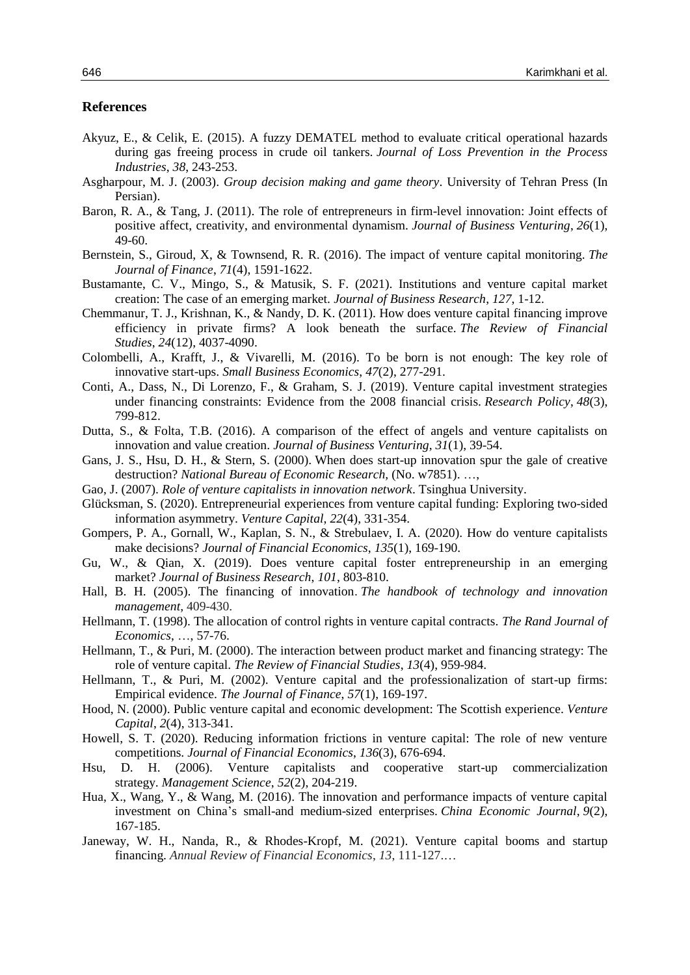## **References**

- Akyuz, E., & Celik, E. (2015). A fuzzy DEMATEL method to evaluate critical operational hazards during gas freeing process in crude oil tankers. *Journal of Loss Prevention in the Process Industries*, *38*, 243-253.
- Asgharpour, M. J. (2003). *Group decision making and game theory*. University of Tehran Press (In Persian).
- Baron, R. A., & Tang, J. (2011). The role of entrepreneurs in firm-level innovation: Joint effects of positive affect, creativity, and environmental dynamism. *Journal of Business Venturing*, *26*(1), 49-60.
- Bernstein, S., Giroud, X, & Townsend, R. R. (2016). The impact of venture capital monitoring. *The Journal of Finance*, *71*(4), 1591-1622.
- Bustamante, C. V., Mingo, S., & Matusik, S. F. (2021). Institutions and venture capital market creation: The case of an emerging market. *Journal of Business Research*, *127*, 1-12.
- Chemmanur, T. J., Krishnan, K., & Nandy, D. K. (2011). How does venture capital financing improve efficiency in private firms? A look beneath the surface. *The Review of Financial Studies*, *24*(12), 4037-4090.
- Colombelli, A., Krafft, J., & Vivarelli, M. (2016). To be born is not enough: The key role of innovative start-ups. *Small Business Economics*, *47*(2), 277-291.
- Conti, A., Dass, N., Di Lorenzo, F., & Graham, S. J. (2019). Venture capital investment strategies under financing constraints: Evidence from the 2008 financial crisis. *Research Policy*, *48*(3), 799-812.
- Dutta, S., & Folta, T.B. (2016). A comparison of the effect of angels and venture capitalists on innovation and value creation. *Journal of Business Venturing*, *31*(1), 39-54.
- Gans, J. S., Hsu, D. H., & Stern, S. (2000). When does start-up innovation spur the gale of creative destruction? *National Bureau of Economic Research,* (No. w7851). …,
- Gao, J. (2007). *Role of venture capitalists in innovation network*. Tsinghua University.
- Glücksman, S. (2020). Entrepreneurial experiences from venture capital funding: Exploring two-sided information asymmetry. *Venture Capital*, *22*(4), 331-354.
- Gompers, P. A., Gornall, W., Kaplan, S. N., & Strebulaev, I. A. (2020). How do venture capitalists make decisions? *Journal of Financial Economics*, *135*(1), 169-190.
- Gu, W., & Qian, X. (2019). Does venture capital foster entrepreneurship in an emerging market? *Journal of Business Research*, *101*, 803-810.
- Hall, B. H. (2005). The financing of innovation. *The handbook of technology and innovation management,* 409-430.
- Hellmann, T. (1998). The allocation of control rights in venture capital contracts. *The Rand Journal of Economics*, …, 57-76.
- Hellmann, T., & Puri, M. (2000). The interaction between product market and financing strategy: The role of venture capital. *The Review of Financial Studies*, *13*(4), 959-984.
- Hellmann, T., & Puri, M. (2002). Venture capital and the professionalization of start-up firms: Empirical evidence. *The Journal of Finance*, *57*(1), 169-197.
- Hood, N. (2000). Public venture capital and economic development: The Scottish experience. *Venture Capital*, *2*(4), 313-341.
- Howell, S. T. (2020). Reducing information frictions in venture capital: The role of new venture competitions. *Journal of Financial Economics*, *136*(3), 676-694.
- Hsu, D. H. (2006). Venture capitalists and cooperative start-up commercialization strategy. *Management Science*, *52*(2), 204-219.
- Hua, X., Wang, Y., & Wang, M. (2016). The innovation and performance impacts of venture capital investment on China's small-and medium-sized enterprises. *China Economic Journal*, *9*(2), 167-185.
- Janeway, W. H., Nanda, R., & Rhodes-Kropf, M. (2021). Venture capital booms and startup financing. *Annual Review of Financial Economics*, *13*, 111-127.…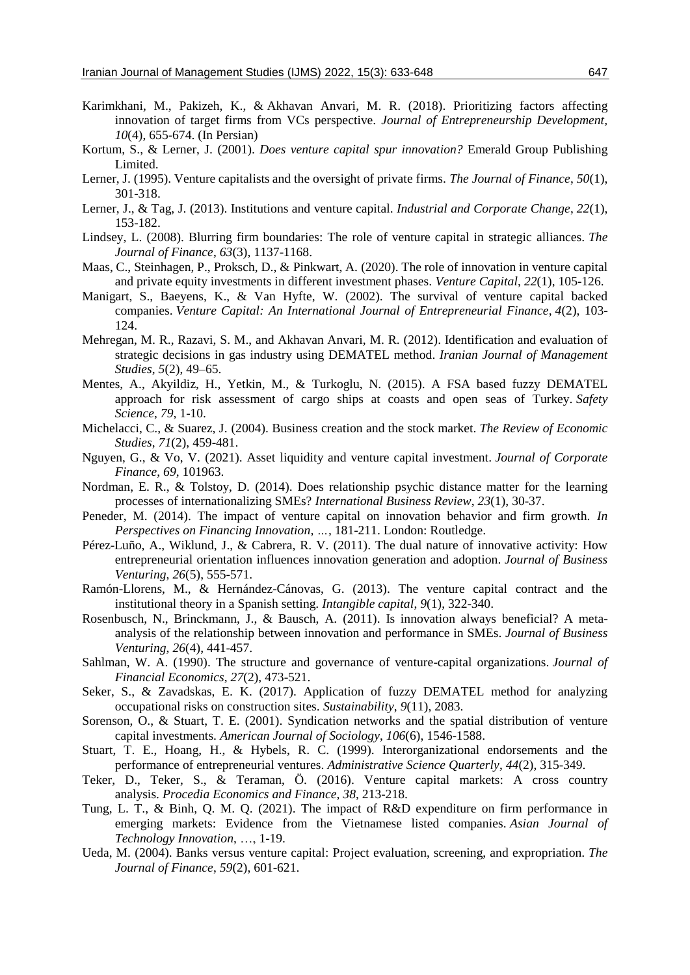- Karimkhani, M., Pakizeh, K., & Akhavan Anvari, M. R. (2018). Prioritizing factors affecting innovation of target firms from VCs perspective. *Journal of Entrepreneurship Development, 10*(4), 655-674. (In Persian)
- Kortum, S., & Lerner, J. (2001). *Does venture capital spur innovation?* Emerald Group Publishing Limited.
- Lerner, J. (1995). Venture capitalists and the oversight of private firms. *The Journal of Finance*, *50*(1), 301-318.
- Lerner, J., & Tag, J. (2013). Institutions and venture capital. *Industrial and Corporate Change*, *22*(1), 153-182.
- Lindsey, L. (2008). Blurring firm boundaries: The role of venture capital in strategic alliances. *The Journal of Finance*, *63*(3), 1137-1168.
- Maas, C., Steinhagen, P., Proksch, D., & Pinkwart, A. (2020). The role of innovation in venture capital and private equity investments in different investment phases. *Venture Capital*, *22*(1), 105-126.
- Manigart, S., Baeyens, K., & Van Hyfte, W. (2002). The survival of venture capital backed companies. *Venture Capital: An International Journal of Entrepreneurial Finance*, *4*(2), 103- 124.
- Mehregan, M. R., Razavi, S. M., and Akhavan Anvari, M. R. (2012). Identification and evaluation of strategic decisions in gas industry using DEMATEL method. *Iranian Journal of Management Studies*, *5*(2), 49–65.
- Mentes, A., Akyildiz, H., Yetkin, M., & Turkoglu, N. (2015). A FSA based fuzzy DEMATEL approach for risk assessment of cargo ships at coasts and open seas of Turkey. *Safety Science*, *79*, 1-10.
- Michelacci, C., & Suarez, J. (2004). Business creation and the stock market. *The Review of Economic Studies*, *71*(2), 459-481.
- Nguyen, G., & Vo, V. (2021). Asset liquidity and venture capital investment. *Journal of Corporate Finance*, *69*, 101963.
- Nordman, E. R., & Tolstoy, D. (2014). Does relationship psychic distance matter for the learning processes of internationalizing SMEs? *International Business Review*, *23*(1), 30-37.
- Peneder, M. (2014). The impact of venture capital on innovation behavior and firm growth. *In Perspectives on Financing Innovation, …,* 181-211. London: Routledge.
- Pérez-Luño, A., Wiklund, J., & Cabrera, R. V. (2011). The dual nature of innovative activity: How entrepreneurial orientation influences innovation generation and adoption. *Journal of Business Venturing*, *26*(5), 555-571.
- Ramón-Llorens, M., & Hernández-Cánovas, G. (2013). The venture capital contract and the institutional theory in a Spanish setting. *Intangible capital*, *9*(1), 322-340.
- Rosenbusch, N., Brinckmann, J., & Bausch, A. (2011). Is innovation always beneficial? A metaanalysis of the relationship between innovation and performance in SMEs. *Journal of Business Venturing*, *26*(4), 441-457.
- Sahlman, W. A. (1990). The structure and governance of venture-capital organizations. *Journal of Financial Economics*, *27*(2), 473-521.
- Seker, S., & Zavadskas, E. K. (2017). Application of fuzzy DEMATEL method for analyzing occupational risks on construction sites. *Sustainability*, *9*(11), 2083.
- Sorenson, O., & Stuart, T. E. (2001). Syndication networks and the spatial distribution of venture capital investments. *American Journal of Sociology*, *106*(6), 1546-1588.
- Stuart, T. E., Hoang, H., & Hybels, R. C. (1999). Interorganizational endorsements and the performance of entrepreneurial ventures. *Administrative Science Quarterly*, *44*(2), 315-349.
- Teker, D., Teker, S., & Teraman, Ö. (2016). Venture capital markets: A cross country analysis. *Procedia Economics and Finance*, *38*, 213-218.
- Tung, L. T., & Binh, Q. M. Q. (2021). The impact of R&D expenditure on firm performance in emerging markets: Evidence from the Vietnamese listed companies. *Asian Journal of Technology Innovation*, …, 1-19.
- Ueda, M. (2004). Banks versus venture capital: Project evaluation, screening, and expropriation. *The Journal of Finance*, *59*(2), 601-621.